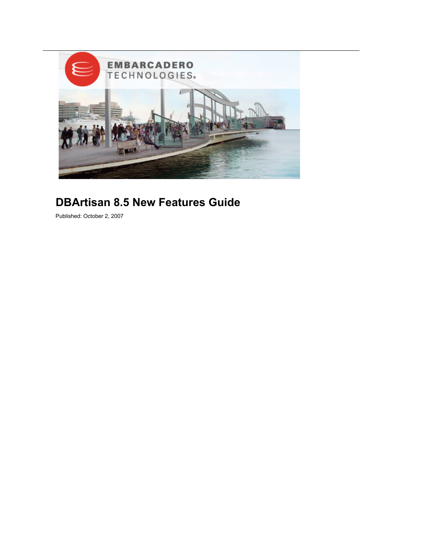

# **DBArtisan 8.5 New Features Guide**

Published: October 2, 2007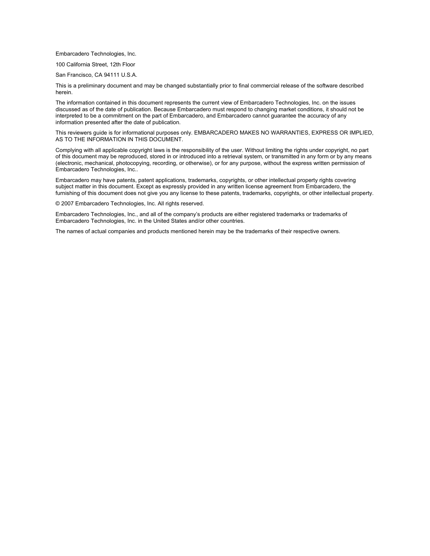Embarcadero Technologies, Inc.

100 California Street, 12th Floor

San Francisco, CA 94111 U.S.A.

This is a preliminary document and may be changed substantially prior to final commercial release of the software described herein.

The information contained in this document represents the current view of Embarcadero Technologies, Inc. on the issues discussed as of the date of publication. Because Embarcadero must respond to changing market conditions, it should not be interpreted to be a commitment on the part of Embarcadero, and Embarcadero cannot guarantee the accuracy of any information presented after the date of publication.

This reviewers guide is for informational purposes only. EMBARCADERO MAKES NO WARRANTIES, EXPRESS OR IMPLIED, AS TO THE INFORMATION IN THIS DOCUMENT.

Complying with all applicable copyright laws is the responsibility of the user. Without limiting the rights under copyright, no part of this document may be reproduced, stored in or introduced into a retrieval system, or transmitted in any form or by any means (electronic, mechanical, photocopying, recording, or otherwise), or for any purpose, without the express written permission of Embarcadero Technologies, Inc..

Embarcadero may have patents, patent applications, trademarks, copyrights, or other intellectual property rights covering subject matter in this document. Except as expressly provided in any written license agreement from Embarcadero, the furnishing of this document does not give you any license to these patents, trademarks, copyrights, or other intellectual property.

© 2007 Embarcadero Technologies, Inc. All rights reserved.

Embarcadero Technologies, Inc., and all of the company's products are either registered trademarks or trademarks of Embarcadero Technologies, Inc. in the United States and/or other countries.

The names of actual companies and products mentioned herein may be the trademarks of their respective owners.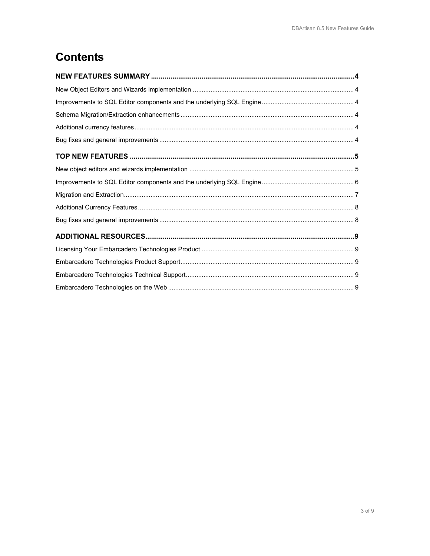# **Contents**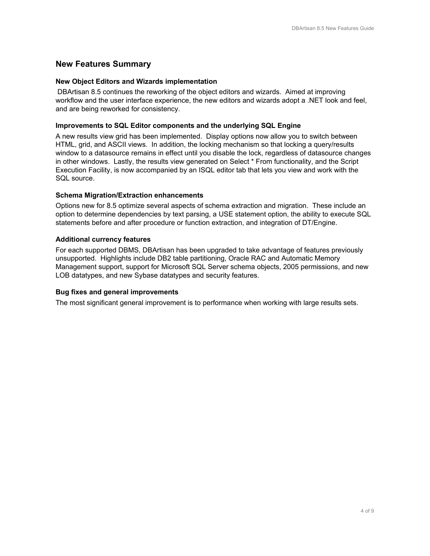# **New Features Summary**

#### **New Object Editors and Wizards implementation**

 DBArtisan 8.5 continues the reworking of the object editors and wizards. Aimed at improving workflow and the user interface experience, the new editors and wizards adopt a .NET look and feel, and are being reworked for consistency.

#### **Improvements to SQL Editor components and the underlying SQL Engine**

A new results view grid has been implemented. Display options now allow you to switch between HTML, grid, and ASCII views. In addition, the locking mechanism so that locking a query/results window to a datasource remains in effect until you disable the lock, regardless of datasource changes in other windows. Lastly, the results view generated on Select \* From functionality, and the Script Execution Facility, is now accompanied by an ISQL editor tab that lets you view and work with the SQL source.

## **Schema Migration/Extraction enhancements**

Options new for 8.5 optimize several aspects of schema extraction and migration. These include an option to determine dependencies by text parsing, a USE statement option, the ability to execute SQL statements before and after procedure or function extraction, and integration of DT/Engine.

## **Additional currency features**

For each supported DBMS, DBArtisan has been upgraded to take advantage of features previously unsupported. Highlights include DB2 table partitioning, Oracle RAC and Automatic Memory Management support, support for Microsoft SQL Server schema objects, 2005 permissions, and new LOB datatypes, and new Sybase datatypes and security features.

#### **Bug fixes and general improvements**

The most significant general improvement is to performance when working with large results sets.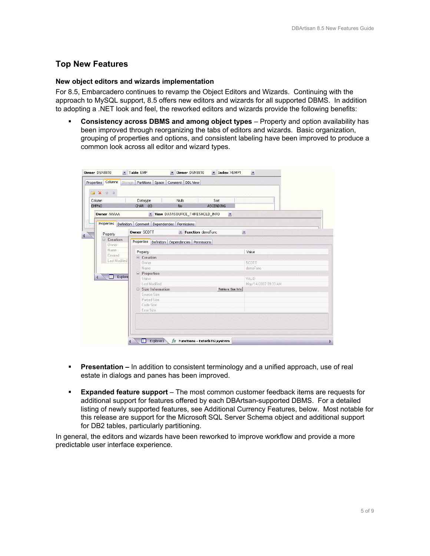# **Top New Features**

#### **New object editors and wizards implementation**

For 8.5, Embarcadero continues to revamp the Object Editors and Wizards. Continuing with the approach to MySQL support, 8.5 offers new editors and wizards for all supported DBMS. In addition to adopting a .NET look and feel, the reworked editors and wizards provide the following benefits:

 **Consistency across DBMS and among object types** – Property and option availability has been improved through reorganizing the tabs of editors and wizards. Basic organization, grouping of properties and options, and consistent labeling have been improved to produce a common look across all editor and wizard types.

| Column<br><b>EMPNO</b>           | Nulls<br>Sort<br>Datatype<br>$CHAR$ (6)<br><b>No</b><br><b>ASCENDING</b> |                          |
|----------------------------------|--------------------------------------------------------------------------|--------------------------|
| Owner AAAAA                      | v View DATASOURCE_THRESHOLD_INFO<br>$\overline{\phantom{a}}$             |                          |
| Properties                       | Definition Comment Dependencies Permissions                              |                          |
| Property                         | Owner SCOTT<br>Function demoFunc                                         | $\overline{\phantom{a}}$ |
| □ Creation                       | Properties Definition Dependencies Permissions                           |                          |
| Owner<br>Name.                   |                                                                          |                          |
| Created                          | Property                                                                 | Value                    |
| Last Modified                    | □ Creation                                                               |                          |
|                                  | Owner                                                                    | SCOTT                    |
|                                  | Name                                                                     | demoFunc                 |
| m.<br>Explore<br>$\triangleleft$ | <b>E</b> Properties<br>Status                                            | VALID                    |
|                                  | Last Modified                                                            | May/14/2007 09:33 AM     |
|                                  | $\equiv$ Size Information<br>Retrieve Size Info                          |                          |
|                                  | Source Size                                                              |                          |
|                                  | Parsed Size                                                              |                          |
|                                  | Code Size                                                                |                          |
|                                  | Error Size                                                               |                          |
|                                  |                                                                          |                          |

- **Presentation** In addition to consistent terminology and a unified approach, use of real estate in dialogs and panes has been improved.
- **Expanded feature support**  The most common customer feedback items are requests for additional support for features offered by each DBArtsan-supported DBMS. For a detailed listing of newly supported features, see Additional Currency Features, below. Most notable for this release are support for the Microsoft SQL Server Schema object and additional support for DB2 tables, particularly partitioning.

In general, the editors and wizards have been reworked to improve workflow and provide a more predictable user interface experience.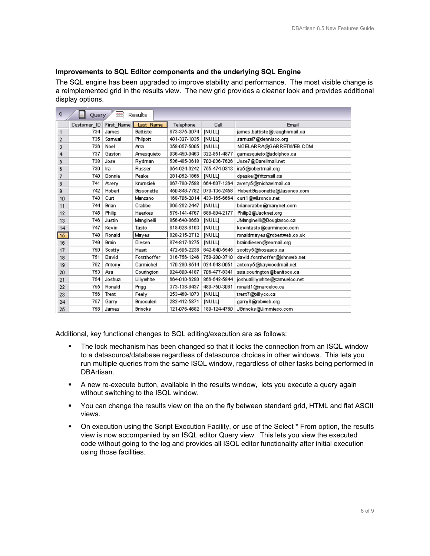#### **Improvements to SQL Editor components and the underlying SQL Engine**

The SQL engine has been upgraded to improve stability and performance. The most visible change is a reimplemented grid in the results view. The new grid provides a cleaner look and provides additional display options.

| ∢               | Results<br>Query |              |                   |              |               |                               |  |  |  |
|-----------------|------------------|--------------|-------------------|--------------|---------------|-------------------------------|--|--|--|
|                 | Customer ID      | First_Name   | Last Name         | Telephone    | Cell          | <b>Email</b>                  |  |  |  |
| 1               | 734              | James        | <b>Battiste</b>   | 873-375-0074 | [NULL]        | james.battiste@vaughnmail.ca  |  |  |  |
| 2               | 735              | Samual       | Philpott          | 481-327-1035 | <b>INULLI</b> | samual7@dennisco.org          |  |  |  |
| 3               | 736              | Noel         | Arra              | 358-057-5005 | <b>INULLI</b> | NOELARRA@GARRETWEB.COM        |  |  |  |
| 4               | 737              | Gaston       | Amesquieto        | 036-450-0463 | 322-851-4877  | gamesquieto@adolphoo.ca       |  |  |  |
| 5               | 738              | Jose         | Rydman            | 536-485-3618 | 702-036-7626  | Jose7@Darellmail.net          |  |  |  |
| 6               | 739              | Ira          | Russer            | 054-624-6242 | 755-474-0313  | ira5@robertmail.org           |  |  |  |
| 7               | 740              | Donnie       | Peake             | 281-052-1866 | [NULL]        | dpeake@fritzmail.ca           |  |  |  |
| 8               | 741              | Avery        | Krumsiek          | 067-780-7588 | 664-607-1364  | avery5@michaelmail.ca         |  |  |  |
| 9               | 742              | Hobert       | <b>Bissonette</b> | 450-846-7782 | 070-135-2458  | Hobert Bissonette@Jasonco.com |  |  |  |
| 10              | 743              | Curt         | Manzano           | 168-706-2014 | 433-165-6664  | curt1@wilsonco.net            |  |  |  |
| 11              | 744              | <b>Brian</b> | Crabbe            | 065-262-2447 | [NULL]        | briancrabbe@marynet.com       |  |  |  |
| 12              | 745              | Philip       | Heerkes           | 575-141-4767 | 686-804-2177  | Philip2@Jacknet.org           |  |  |  |
| 13              | 746              | Justin       | Manginelli        | 856-640-0650 | [NULL]        | JManginelli@Douglasco.ca      |  |  |  |
| 14              | 747              | Kevin        | Tasto             | 818-628-8163 | [NULL]        | kevintasto@carmineco.com      |  |  |  |
| 15 <sub>1</sub> | 748              | Ronald       | Mayes             | 828-215-2712 | <b>INULLI</b> | ronaldmayes@robertweb.co.uk   |  |  |  |
| 16              | 749              | Brain        | Diesen            | 874-817-6275 | [NULL]        | braindiesen@rexmail.org       |  |  |  |
| 17              | 750              | Scotty       | Heart             | 472-505-2238 | 642-640-5545  | scotty5@hoseaco.ca            |  |  |  |
| 18              | 751              | David        | Forsthoffer       | 316-756-1246 | 750-200-3710  | david.forsthoffer@johnweb.net |  |  |  |
| 19              | 752              | Antony       | Carmichel         | 170-280-8514 | 624-648-0051  | antony5@haywoodmail.net       |  |  |  |
| 20              | 753              | Asa          | Courington        | 024-800-4187 | 706-477-8341  | asa.courington@benitoco.ca    |  |  |  |
| 21              | 754              | Joshua       | Lillywhite        | 664-010-6280 | 866-542-5844  | joshualillywhite@samuelco.net |  |  |  |
| 22              | 755              | Ronald       | Prigg             | 373-138-6437 | 480-750-3061  | ronald1@marcelco.ca           |  |  |  |
| 23              | 756              | Trent        | Feelv             | 253-468-1073 | <b>INULLI</b> | trent7@billyco.ca             |  |  |  |
| 24              | 757              | Garry        | Brucculeri        | 282-412-5871 | <b>INULLI</b> | gamy8@robweb.org              |  |  |  |
| 25              | 758              | James        | <b>Brincks</b>    | 121-076-4682 | 180-124-4760  | JBrincks@Jimmieco.com         |  |  |  |

Additional, key functional changes to SQL editing/execution are as follows:

- The lock mechanism has been changed so that it locks the connection from an ISQL window to a datasource/database regardless of datasource choices in other windows. This lets you run multiple queries from the same ISQL window, regardless of other tasks being performed in DBArtisan.
- A new re-execute button, available in the results window, lets you execute a query again without switching to the ISQL window.
- You can change the results view on the on the fly between standard grid, HTML and flat ASCII views.
- On execution using the Script Execution Facility, or use of the Select \* From option, the results view is now accompanied by an ISQL editor Query view. This lets you view the executed code without going to the log and provides all ISQL editor functionality after initial execution using those facilities.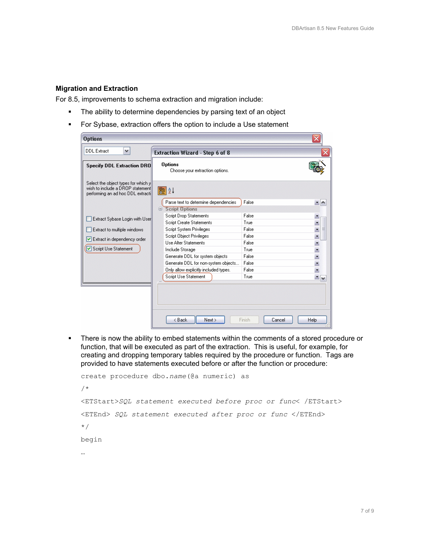#### **Migration and Extraction**

For 8.5, improvements to schema extraction and migration include:

- **The ability to determine dependencies by parsing text of an object**
- **For Sybase, extraction offers the option to include a Use statement**

| <b>Options</b>                                                                                               |                                                   |                  | ×                        |  |
|--------------------------------------------------------------------------------------------------------------|---------------------------------------------------|------------------|--------------------------|--|
| <b>DDL Extract</b><br>$\checkmark$                                                                           | Extraction Wizard - Step 6 of 8                   |                  |                          |  |
| <b>Specify DDL Extraction DRO</b>                                                                            | <b>Options</b><br>Choose your extraction options. |                  |                          |  |
| Select the object types for which y<br>wish to include a DROP statement<br>performing an ad hoc DDL extracti | 图 Al                                              |                  |                          |  |
|                                                                                                              | Parse text to determine dependencies              | False            | $\cdot$ $\sim$           |  |
|                                                                                                              | <b>Script Options</b><br>e                        |                  |                          |  |
| Extract Sybase Login with User                                                                               | <b>Script Drop Statements</b>                     | False            |                          |  |
|                                                                                                              | <b>Script Create Statements</b>                   | True             | $\overline{ }$           |  |
| Extract to multiple windows                                                                                  | Script System Privileges                          | False            | $\cdot$<br>≣             |  |
| Extract in dependency order                                                                                  | Script Object Privileges                          | False            | $\overline{\phantom{a}}$ |  |
|                                                                                                              | <b>Lise Alter Statements</b>                      | False            | E.                       |  |
| Script Use Statement                                                                                         | Include Storage                                   | True             | $\overline{ }$           |  |
|                                                                                                              | Generate DDL for system objects                   | False            | $\ddot{\phantom{0}}$     |  |
|                                                                                                              | Generate DDL for non-system objects               | False            | $\ddot{\cdot}$           |  |
|                                                                                                              | Only allow explicitly included types.             | False            |                          |  |
|                                                                                                              | Script Use Statement                              | True             | $\mathbf{v}$             |  |
|                                                                                                              | < Back<br>Next                                    | Finish<br>Cancel | Help                     |  |

**There is now the ability to embed statements within the comments of a stored procedure or** function, that will be executed as part of the extraction. This is useful, for example, for creating and dropping temporary tables required by the procedure or function. Tags are provided to have statements executed before or after the function or procedure:

```
create procedure dbo.name(@a numeric) as 
/* 
<ETStart>SQL statement executed before proc or func< /ETStart> 
<ETEnd> SQL statement executed after proc or func </ETEnd> 
*/ 
begin 
…
```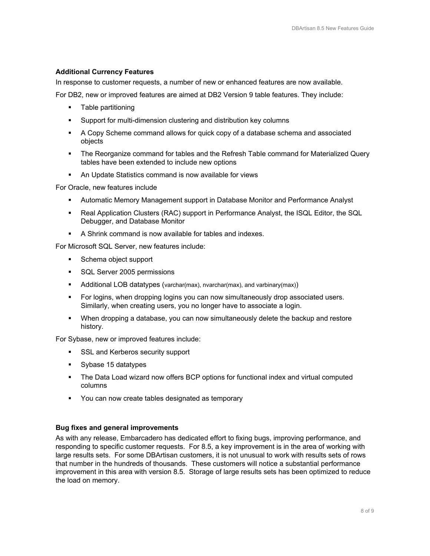#### **Additional Currency Features**

In response to customer requests, a number of new or enhanced features are now available.

For DB2, new or improved features are aimed at DB2 Version 9 table features. They include:

- **Table partitioning**
- Support for multi-dimension clustering and distribution key columns
- A Copy Scheme command allows for quick copy of a database schema and associated objects
- The Reorganize command for tables and the Refresh Table command for Materialized Query tables have been extended to include new options
- An Update Statistics command is now available for views

For Oracle, new features include

- Automatic Memory Management support in Database Monitor and Performance Analyst
- Real Application Clusters (RAC) support in Performance Analyst, the ISQL Editor, the SQL Debugger, and Database Monitor
- A Shrink command is now available for tables and indexes.

For Microsoft SQL Server, new features include:

- Schema object support
- **SQL Server 2005 permissions**
- **Additional LOB datatypes (varchar(max), nvarchar(max), and varbinary(max))**
- For logins, when dropping logins you can now simultaneously drop associated users. Similarly, when creating users, you no longer have to associate a login.
- When dropping a database, you can now simultaneously delete the backup and restore history.

For Sybase, new or improved features include:

- SSL and Kerberos security support
- Sybase 15 datatypes
- The Data Load wizard now offers BCP options for functional index and virtual computed columns
- You can now create tables designated as temporary

#### **Bug fixes and general improvements**

As with any release, Embarcadero has dedicated effort to fixing bugs, improving performance, and responding to specific customer requests. For 8.5, a key improvement is in the area of working with large results sets. For some DBArtisan customers, it is not unusual to work with results sets of rows that number in the hundreds of thousands. These customers will notice a substantial performance improvement in this area with version 8.5. Storage of large results sets has been optimized to reduce the load on memory.